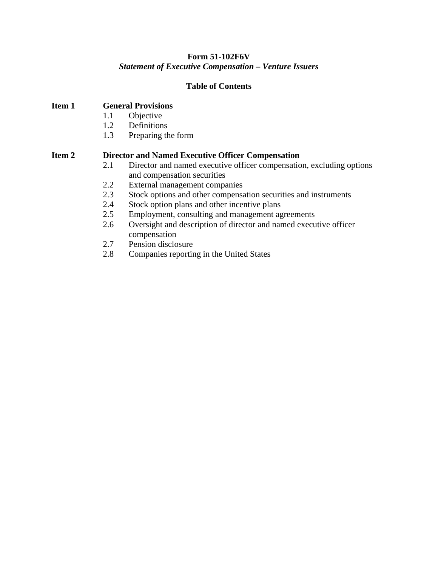## **Form 51-102F6V** *Statement of Executive Compensation – Venture Issuers*

## **Table of Contents**

### **Item 1 General Provisions**

- 1.1 Objective
- 1.2 Definitions
- 1.3 Preparing the form

### **Item 2 Director and Named Executive Officer Compensation**

- 2.1 Director and named executive officer compensation, excluding options and compensation securities
- 2.2 External management companies
- 2.3 Stock options and other compensation securities and instruments
- 2.4 Stock option plans and other incentive plans
- 2.5 Employment, consulting and management agreements
- 2.6 Oversight and description of director and named executive officer compensation
- 2.7 Pension disclosure
- 2.8 Companies reporting in the United States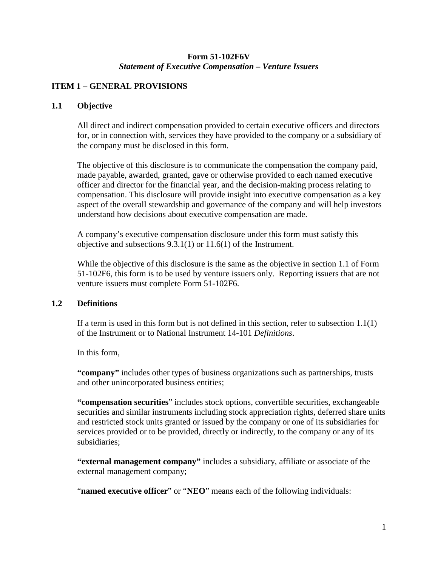### **Form 51-102F6V** *Statement of Executive Compensation – Venture Issuers*

## **ITEM 1 – GENERAL PROVISIONS**

### **1.1 Objective**

All direct and indirect compensation provided to certain executive officers and directors for, or in connection with, services they have provided to the company or a subsidiary of the company must be disclosed in this form.

The objective of this disclosure is to communicate the compensation the company paid, made payable, awarded, granted, gave or otherwise provided to each named executive officer and director for the financial year, and the decision-making process relating to compensation. This disclosure will provide insight into executive compensation as a key aspect of the overall stewardship and governance of the company and will help investors understand how decisions about executive compensation are made.

A company's executive compensation disclosure under this form must satisfy this objective and subsections 9.3.1(1) or 11.6(1) of the Instrument.

While the objective of this disclosure is the same as the objective in section 1.1 of Form 51-102F6, this form is to be used by venture issuers only. Reporting issuers that are not venture issuers must complete Form 51-102F6.

## **1.2 Definitions**

If a term is used in this form but is not defined in this section, refer to subsection  $1.1(1)$ of the Instrument or to National Instrument 14-101 *Definitions*.

In this form,

**"company"** includes other types of business organizations such as partnerships, trusts and other unincorporated business entities;

**"compensation securities**" includes stock options, convertible securities, exchangeable securities and similar instruments including stock appreciation rights, deferred share units and restricted stock units granted or issued by the company or one of its subsidiaries for services provided or to be provided, directly or indirectly, to the company or any of its subsidiaries;

**"external management company"** includes a subsidiary, affiliate or associate of the external management company;

"**named executive officer**" or "**NEO**" means each of the following individuals: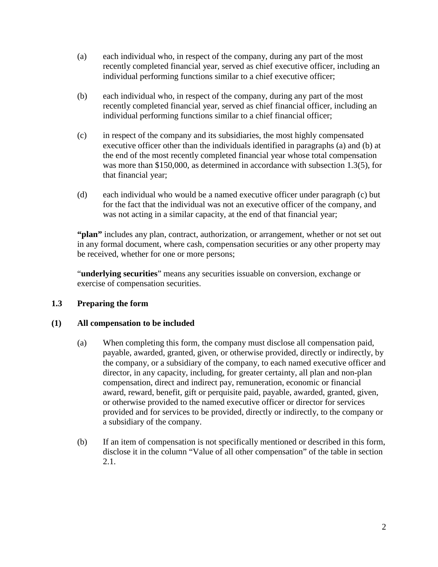- (a) each individual who, in respect of the company, during any part of the most recently completed financial year, served as chief executive officer, including an individual performing functions similar to a chief executive officer;
- (b) each individual who, in respect of the company, during any part of the most recently completed financial year, served as chief financial officer, including an individual performing functions similar to a chief financial officer;
- (c) in respect of the company and its subsidiaries, the most highly compensated executive officer other than the individuals identified in paragraphs (a) and (b) at the end of the most recently completed financial year whose total compensation was more than \$150,000, as determined in accordance with subsection 1.3(5), for that financial year;
- (d) each individual who would be a named executive officer under paragraph (c) but for the fact that the individual was not an executive officer of the company, and was not acting in a similar capacity, at the end of that financial year;

**"plan"** includes any plan, contract, authorization, or arrangement, whether or not set out in any formal document, where cash, compensation securities or any other property may be received, whether for one or more persons;

"**underlying securities**" means any securities issuable on conversion, exchange or exercise of compensation securities.

# **1.3 Preparing the form**

## **(1) All compensation to be included**

- (a) When completing this form, the company must disclose all compensation paid, payable, awarded, granted, given, or otherwise provided, directly or indirectly, by the company, or a subsidiary of the company, to each named executive officer and director, in any capacity, including, for greater certainty, all plan and non-plan compensation, direct and indirect pay, remuneration, economic or financial award, reward, benefit, gift or perquisite paid, payable, awarded, granted, given, or otherwise provided to the named executive officer or director for services provided and for services to be provided, directly or indirectly, to the company or a subsidiary of the company.
- (b) If an item of compensation is not specifically mentioned or described in this form, disclose it in the column "Value of all other compensation" of the table in section 2.1.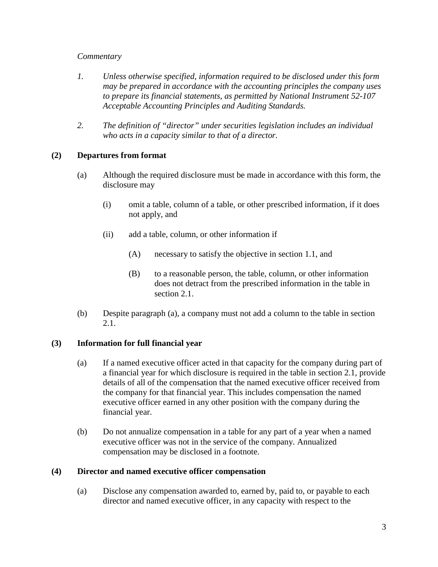### *Commentary*

- *1. Unless otherwise specified, information required to be disclosed under this form may be prepared in accordance with the accounting principles the company uses to prepare its financial statements, as permitted by National Instrument 52-107 Acceptable Accounting Principles and Auditing Standards.*
- *2. The definition of "director" under securities legislation includes an individual who acts in a capacity similar to that of a director.*

## **(2) Departures from format**

- (a) Although the required disclosure must be made in accordance with this form, the disclosure may
	- (i) omit a table, column of a table, or other prescribed information, if it does not apply, and
	- (ii) add a table, column, or other information if
		- (A) necessary to satisfy the objective in section 1.1, and
		- (B) to a reasonable person, the table, column, or other information does not detract from the prescribed information in the table in section 2.1.
- (b) Despite paragraph (a), a company must not add a column to the table in section 2.1.

## **(3) Information for full financial year**

- (a) If a named executive officer acted in that capacity for the company during part of a financial year for which disclosure is required in the table in section 2.1, provide details of all of the compensation that the named executive officer received from the company for that financial year. This includes compensation the named executive officer earned in any other position with the company during the financial year.
- (b) Do not annualize compensation in a table for any part of a year when a named executive officer was not in the service of the company. Annualized compensation may be disclosed in a footnote.

## **(4) Director and named executive officer compensation**

(a) Disclose any compensation awarded to, earned by, paid to, or payable to each director and named executive officer, in any capacity with respect to the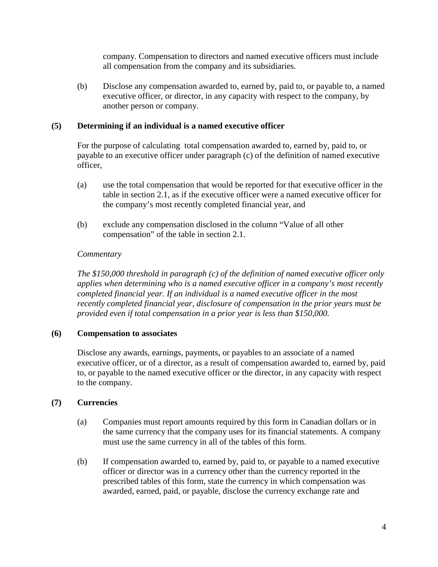company. Compensation to directors and named executive officers must include all compensation from the company and its subsidiaries.

(b) Disclose any compensation awarded to, earned by, paid to, or payable to, a named executive officer, or director, in any capacity with respect to the company, by another person or company.

## **(5) Determining if an individual is a named executive officer**

For the purpose of calculating total compensation awarded to, earned by, paid to, or payable to an executive officer under paragraph (c) of the definition of named executive officer,

- (a) use the total compensation that would be reported for that executive officer in the table in section 2.1, as if the executive officer were a named executive officer for the company's most recently completed financial year, and
- (b) exclude any compensation disclosed in the column "Value of all other compensation" of the table in section 2.1.

## *Commentary*

*The \$150,000 threshold in paragraph (c) of the definition of named executive officer only applies when determining who is a named executive officer in a company's most recently completed financial year. If an individual is a named executive officer in the most recently completed financial year, disclosure of compensation in the prior years must be provided even if total compensation in a prior year is less than \$150,000.* 

## **(6) Compensation to associates**

Disclose any awards, earnings, payments, or payables to an associate of a named executive officer, or of a director, as a result of compensation awarded to, earned by, paid to, or payable to the named executive officer or the director, in any capacity with respect to the company.

## **(7) Currencies**

- (a) Companies must report amounts required by this form in Canadian dollars or in the same currency that the company uses for its financial statements. A company must use the same currency in all of the tables of this form.
- (b) If compensation awarded to, earned by, paid to, or payable to a named executive officer or director was in a currency other than the currency reported in the prescribed tables of this form, state the currency in which compensation was awarded, earned, paid, or payable, disclose the currency exchange rate and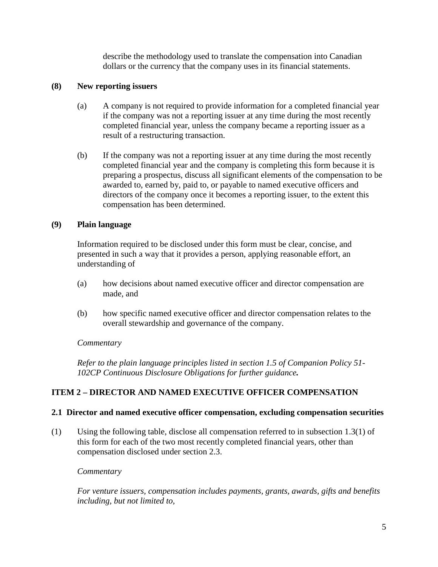describe the methodology used to translate the compensation into Canadian dollars or the currency that the company uses in its financial statements.

## **(8) New reporting issuers**

- (a) A company is not required to provide information for a completed financial year if the company was not a reporting issuer at any time during the most recently completed financial year, unless the company became a reporting issuer as a result of a restructuring transaction.
- (b) If the company was not a reporting issuer at any time during the most recently completed financial year and the company is completing this form because it is preparing a prospectus, discuss all significant elements of the compensation to be awarded to, earned by, paid to, or payable to named executive officers and directors of the company once it becomes a reporting issuer, to the extent this compensation has been determined.

## **(9) Plain language**

Information required to be disclosed under this form must be clear, concise, and presented in such a way that it provides a person, applying reasonable effort, an understanding of

- (a) how decisions about named executive officer and director compensation are made, and
- (b) how specific named executive officer and director compensation relates to the overall stewardship and governance of the company.

## *Commentary*

*Refer to the plain language principles listed in section 1.5 of Companion Policy 51- 102CP Continuous Disclosure Obligations for further guidance.*

# **ITEM 2 – DIRECTOR AND NAMED EXECUTIVE OFFICER COMPENSATION**

## **2.1 Director and named executive officer compensation, excluding compensation securities**

(1) Using the following table, disclose all compensation referred to in subsection 1.3(1) of this form for each of the two most recently completed financial years, other than compensation disclosed under section 2.3.

## *Commentary*

*For venture issuers, compensation includes payments, grants, awards, gifts and benefits including, but not limited to,*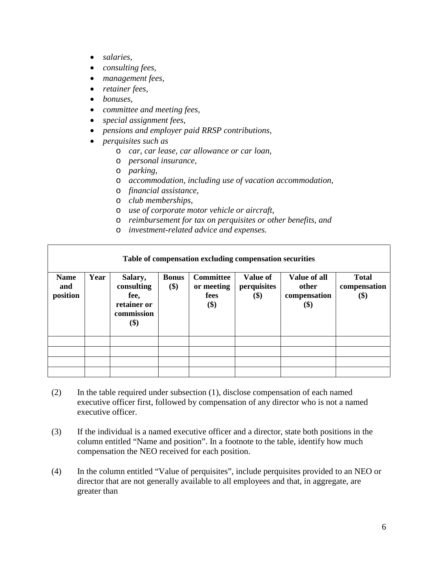- *salaries,*
- *consulting fees,*
- *management fees,*
- *retainer fees,*
- *bonuses,*
- *committee and meeting fees,*
- *special assignment fees,*
- *pensions and employer paid RRSP contributions,*
- *perquisites such as*
	- o *car, car lease, car allowance or car loan,*
	- o *personal insurance,*
	- o *parking,*
	- o *accommodation, including use of vacation accommodation,*
	- o *financial assistance,*
	- o *club memberships,*
	- o *use of corporate motor vehicle or aircraft,*
	- o *reimbursement for tax on perquisites or other benefits, and*
	- o *investment-related advice and expenses.*

| Table of compensation excluding compensation securities |      |                                                                   |                     |                                               |                                |                                              |                                     |  |
|---------------------------------------------------------|------|-------------------------------------------------------------------|---------------------|-----------------------------------------------|--------------------------------|----------------------------------------------|-------------------------------------|--|
| <b>Name</b><br>and<br>position                          | Year | Salary,<br>consulting<br>fee,<br>retainer or<br>commission<br>\$) | <b>Bonus</b><br>\$) | <b>Committee</b><br>or meeting<br>fees<br>\$) | Value of<br>perquisites<br>\$) | Value of all<br>other<br>compensation<br>\$) | <b>Total</b><br>compensation<br>\$) |  |
|                                                         |      |                                                                   |                     |                                               |                                |                                              |                                     |  |
|                                                         |      |                                                                   |                     |                                               |                                |                                              |                                     |  |
|                                                         |      |                                                                   |                     |                                               |                                |                                              |                                     |  |
|                                                         |      |                                                                   |                     |                                               |                                |                                              |                                     |  |

- (2) In the table required under subsection (1), disclose compensation of each named executive officer first, followed by compensation of any director who is not a named executive officer.
- (3) If the individual is a named executive officer and a director, state both positions in the column entitled "Name and position". In a footnote to the table, identify how much compensation the NEO received for each position.
- (4) In the column entitled "Value of perquisites", include perquisites provided to an NEO or director that are not generally available to all employees and that, in aggregate, are greater than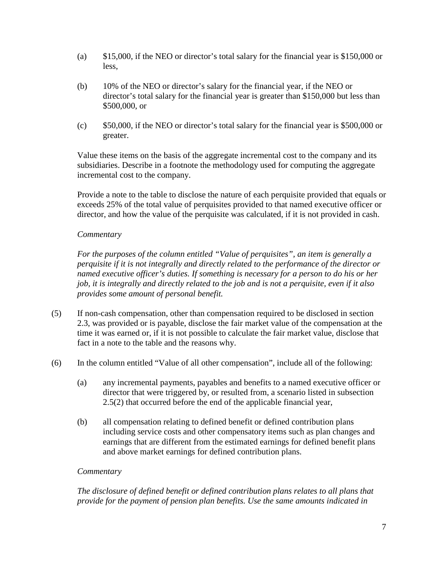- (a) \$15,000, if the NEO or director's total salary for the financial year is \$150,000 or less,
- (b) 10% of the NEO or director's salary for the financial year, if the NEO or director's total salary for the financial year is greater than \$150,000 but less than \$500,000, or
- (c) \$50,000, if the NEO or director's total salary for the financial year is \$500,000 or greater.

Value these items on the basis of the aggregate incremental cost to the company and its subsidiaries. Describe in a footnote the methodology used for computing the aggregate incremental cost to the company.

Provide a note to the table to disclose the nature of each perquisite provided that equals or exceeds 25% of the total value of perquisites provided to that named executive officer or director, and how the value of the perquisite was calculated, if it is not provided in cash.

### *Commentary*

*For the purposes of the column entitled "Value of perquisites", an item is generally a perquisite if it is not integrally and directly related to the performance of the director or named executive officer's duties. If something is necessary for a person to do his or her job, it is integrally and directly related to the job and is not a perquisite, even if it also provides some amount of personal benefit.*

- (5) If non-cash compensation, other than compensation required to be disclosed in section 2.3, was provided or is payable, disclose the fair market value of the compensation at the time it was earned or, if it is not possible to calculate the fair market value, disclose that fact in a note to the table and the reasons why.
- (6) In the column entitled "Value of all other compensation", include all of the following:
	- (a) any incremental payments, payables and benefits to a named executive officer or director that were triggered by, or resulted from, a scenario listed in subsection 2.5(2) that occurred before the end of the applicable financial year,
	- (b) all compensation relating to defined benefit or defined contribution plans including service costs and other compensatory items such as plan changes and earnings that are different from the estimated earnings for defined benefit plans and above market earnings for defined contribution plans.

## *Commentary*

*The disclosure of defined benefit or defined contribution plans relates to all plans that provide for the payment of pension plan benefits. Use the same amounts indicated in*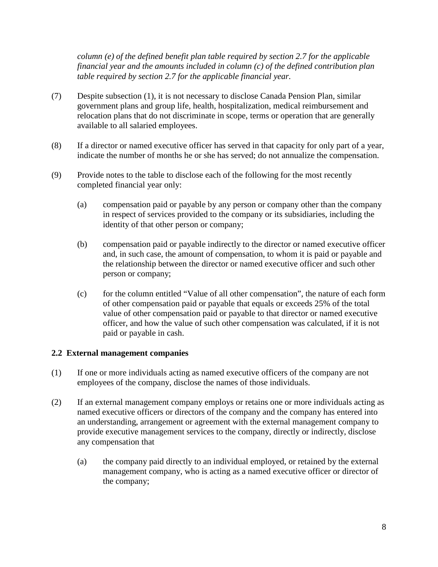*column (e) of the defined benefit plan table required by section 2.7 for the applicable financial year and the amounts included in column (c) of the defined contribution plan table required by section 2.7 for the applicable financial year.* 

- (7) Despite subsection (1), it is not necessary to disclose Canada Pension Plan, similar government plans and group life, health, hospitalization, medical reimbursement and relocation plans that do not discriminate in scope, terms or operation that are generally available to all salaried employees.
- (8) If a director or named executive officer has served in that capacity for only part of a year, indicate the number of months he or she has served; do not annualize the compensation.
- (9) Provide notes to the table to disclose each of the following for the most recently completed financial year only:
	- (a) compensation paid or payable by any person or company other than the company in respect of services provided to the company or its subsidiaries, including the identity of that other person or company;
	- (b) compensation paid or payable indirectly to the director or named executive officer and, in such case, the amount of compensation, to whom it is paid or payable and the relationship between the director or named executive officer and such other person or company;
	- (c) for the column entitled "Value of all other compensation", the nature of each form of other compensation paid or payable that equals or exceeds 25% of the total value of other compensation paid or payable to that director or named executive officer, and how the value of such other compensation was calculated, if it is not paid or payable in cash.

## **2.2 External management companies**

- (1) If one or more individuals acting as named executive officers of the company are not employees of the company, disclose the names of those individuals.
- (2) If an external management company employs or retains one or more individuals acting as named executive officers or directors of the company and the company has entered into an understanding, arrangement or agreement with the external management company to provide executive management services to the company, directly or indirectly, disclose any compensation that
	- (a) the company paid directly to an individual employed, or retained by the external management company, who is acting as a named executive officer or director of the company;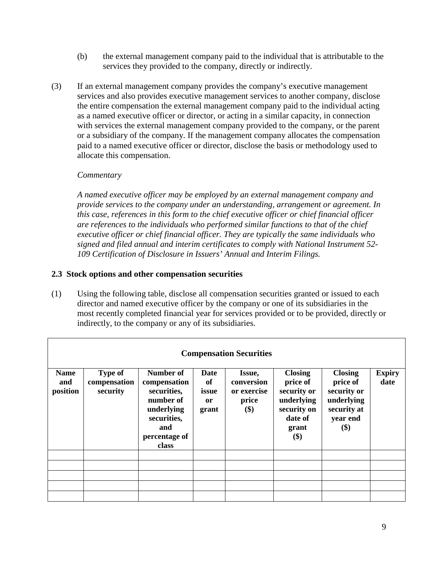- (b) the external management company paid to the individual that is attributable to the services they provided to the company, directly or indirectly.
- (3) If an external management company provides the company's executive management services and also provides executive management services to another company, disclose the entire compensation the external management company paid to the individual acting as a named executive officer or director, or acting in a similar capacity, in connection with services the external management company provided to the company, or the parent or a subsidiary of the company. If the management company allocates the compensation paid to a named executive officer or director, disclose the basis or methodology used to allocate this compensation.

### *Commentary*

*A named executive officer may be employed by an external management company and provide services to the company under an understanding, arrangement or agreement. In this case, references in this form to the chief executive officer or chief financial officer are references to the individuals who performed similar functions to that of the chief executive officer or chief financial officer. They are typically the same individuals who signed and filed annual and interim certificates to comply with National Instrument 52- 109 Certification of Disclosure in Issuers' Annual and Interim Filings.* 

### **2.3 Stock options and other compensation securities**

(1) Using the following table, disclose all compensation securities granted or issued to each director and named executive officer by the company or one of its subsidiaries in the most recently completed financial year for services provided or to be provided, directly or indirectly, to the company or any of its subsidiaries.

| <b>Compensation Securities</b> |                                            |                                                                                                                     |                                               |                                                     |                                                                                                   |                                                                                           |                       |  |  |
|--------------------------------|--------------------------------------------|---------------------------------------------------------------------------------------------------------------------|-----------------------------------------------|-----------------------------------------------------|---------------------------------------------------------------------------------------------------|-------------------------------------------------------------------------------------------|-----------------------|--|--|
| <b>Name</b><br>and<br>position | <b>Type of</b><br>compensation<br>security | Number of<br>compensation<br>securities,<br>number of<br>underlying<br>securities,<br>and<br>percentage of<br>class | Date<br>of<br>issue<br><sub>or</sub><br>grant | Issue,<br>conversion<br>or exercise<br>price<br>\$) | <b>Closing</b><br>price of<br>security or<br>underlying<br>security on<br>date of<br>grant<br>\$) | <b>Closing</b><br>price of<br>security or<br>underlying<br>security at<br>year end<br>\$) | <b>Expiry</b><br>date |  |  |
|                                |                                            |                                                                                                                     |                                               |                                                     |                                                                                                   |                                                                                           |                       |  |  |
|                                |                                            |                                                                                                                     |                                               |                                                     |                                                                                                   |                                                                                           |                       |  |  |
|                                |                                            |                                                                                                                     |                                               |                                                     |                                                                                                   |                                                                                           |                       |  |  |
|                                |                                            |                                                                                                                     |                                               |                                                     |                                                                                                   |                                                                                           |                       |  |  |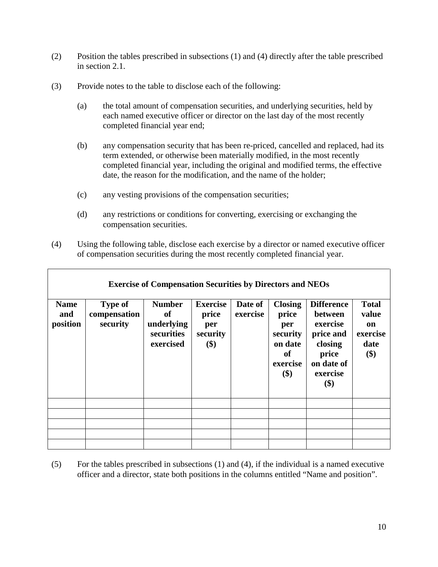- (2) Position the tables prescribed in subsections (1) and (4) directly after the table prescribed in section 2.1.
- (3) Provide notes to the table to disclose each of the following:
	- (a) the total amount of compensation securities, and underlying securities, held by each named executive officer or director on the last day of the most recently completed financial year end;
	- (b) any compensation security that has been re-priced, cancelled and replaced, had its term extended, or otherwise been materially modified, in the most recently completed financial year, including the original and modified terms, the effective date, the reason for the modification, and the name of the holder;
	- (c) any vesting provisions of the compensation securities;
	- (d) any restrictions or conditions for converting, exercising or exchanging the compensation securities.
- (4) Using the following table, disclose each exercise by a director or named executive officer of compensation securities during the most recently completed financial year.

| <b>Exercise of Compensation Securities by Directors and NEOs</b> |                                            |                                                                         |                                                    |                     |                                                                                |                                                                                                                   |                                                          |
|------------------------------------------------------------------|--------------------------------------------|-------------------------------------------------------------------------|----------------------------------------------------|---------------------|--------------------------------------------------------------------------------|-------------------------------------------------------------------------------------------------------------------|----------------------------------------------------------|
| <b>Name</b><br>and<br>position                                   | <b>Type of</b><br>compensation<br>security | <b>Number</b><br><sub>of</sub><br>underlying<br>securities<br>exercised | <b>Exercise</b><br>price<br>per<br>security<br>\$) | Date of<br>exercise | <b>Closing</b><br>price<br>per<br>security<br>on date<br>of<br>exercise<br>\$) | <b>Difference</b><br><b>between</b><br>exercise<br>price and<br>closing<br>price<br>on date of<br>exercise<br>\$) | <b>Total</b><br>value<br>on<br>exercise<br>date<br>$($)$ |
|                                                                  |                                            |                                                                         |                                                    |                     |                                                                                |                                                                                                                   |                                                          |
|                                                                  |                                            |                                                                         |                                                    |                     |                                                                                |                                                                                                                   |                                                          |
|                                                                  |                                            |                                                                         |                                                    |                     |                                                                                |                                                                                                                   |                                                          |
|                                                                  |                                            |                                                                         |                                                    |                     |                                                                                |                                                                                                                   |                                                          |
|                                                                  |                                            |                                                                         |                                                    |                     |                                                                                |                                                                                                                   |                                                          |

(5) For the tables prescribed in subsections (1) and (4), if the individual is a named executive officer and a director, state both positions in the columns entitled "Name and position".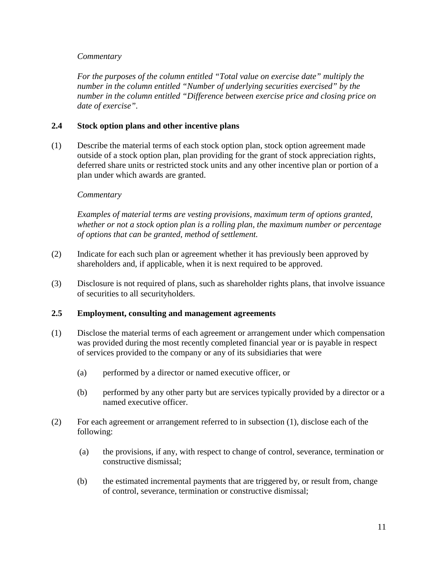### *Commentary*

*For the purposes of the column entitled "Total value on exercise date" multiply the number in the column entitled "Number of underlying securities exercised" by the number in the column entitled "Difference between exercise price and closing price on date of exercise".* 

## **2.4 Stock option plans and other incentive plans**

(1) Describe the material terms of each stock option plan, stock option agreement made outside of a stock option plan, plan providing for the grant of stock appreciation rights, deferred share units or restricted stock units and any other incentive plan or portion of a plan under which awards are granted.

#### *Commentary*

*Examples of material terms are vesting provisions, maximum term of options granted, whether or not a stock option plan is a rolling plan, the maximum number or percentage of options that can be granted, method of settlement.* 

- (2) Indicate for each such plan or agreement whether it has previously been approved by shareholders and, if applicable, when it is next required to be approved.
- (3) Disclosure is not required of plans, such as shareholder rights plans, that involve issuance of securities to all securityholders.

#### **2.5 Employment, consulting and management agreements**

- (1) Disclose the material terms of each agreement or arrangement under which compensation was provided during the most recently completed financial year or is payable in respect of services provided to the company or any of its subsidiaries that were
	- (a) performed by a director or named executive officer, or
	- (b) performed by any other party but are services typically provided by a director or a named executive officer.
- (2) For each agreement or arrangement referred to in subsection (1), disclose each of the following:
	- (a) the provisions, if any, with respect to change of control, severance, termination or constructive dismissal;
	- (b) the estimated incremental payments that are triggered by, or result from, change of control, severance, termination or constructive dismissal;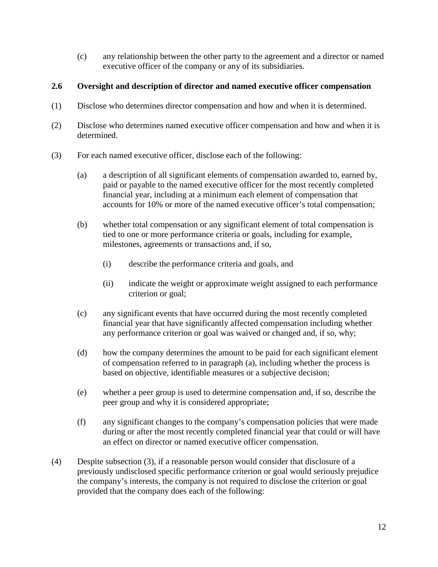(c) any relationship between the other party to the agreement and a director or named executive officer of the company or any of its subsidiaries.

## **2.6 Oversight and description of director and named executive officer compensation**

- (1) Disclose who determines director compensation and how and when it is determined.
- (2) Disclose who determines named executive officer compensation and how and when it is determined.
- (3) For each named executive officer, disclose each of the following:
	- (a) a description of all significant elements of compensation awarded to, earned by, paid or payable to the named executive officer for the most recently completed financial year, including at a minimum each element of compensation that accounts for 10% or more of the named executive officer's total compensation;
	- (b) whether total compensation or any significant element of total compensation is tied to one or more performance criteria or goals, including for example, milestones, agreements or transactions and, if so,
		- (i) describe the performance criteria and goals, and
		- (ii) indicate the weight or approximate weight assigned to each performance criterion or goal;
	- (c) any significant events that have occurred during the most recently completed financial year that have significantly affected compensation including whether any performance criterion or goal was waived or changed and, if so, why;
	- (d) how the company determines the amount to be paid for each significant element of compensation referred to in paragraph (a), including whether the process is based on objective, identifiable measures or a subjective decision;
	- (e) whether a peer group is used to determine compensation and, if so, describe the peer group and why it is considered appropriate;
	- (f) any significant changes to the company's compensation policies that were made during or after the most recently completed financial year that could or will have an effect on director or named executive officer compensation.
- (4) Despite subsection (3), if a reasonable person would consider that disclosure of a previously undisclosed specific performance criterion or goal would seriously prejudice the company's interests, the company is not required to disclose the criterion or goal provided that the company does each of the following: